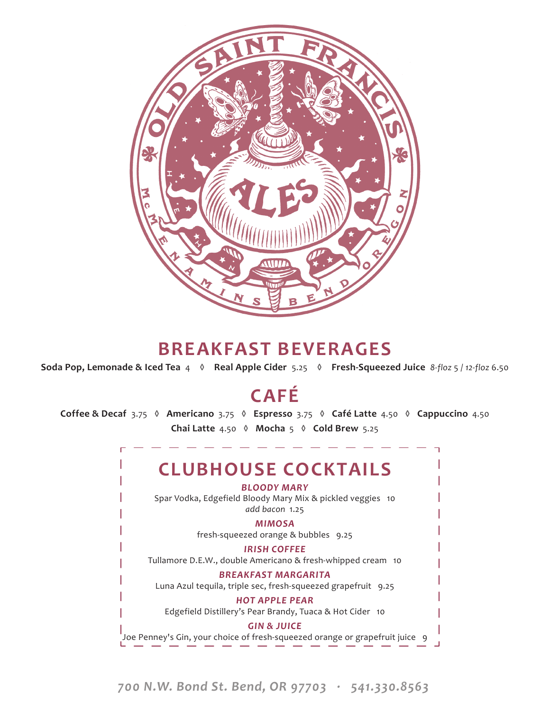

### **BREAKFAST BEVERAGES**

**Soda Pop, Lemonade & Iced Tea** 4 **◊ Real Apple Cider** 5.25 **◊ Fresh-Squeezed Juice** *8-floz* 5 / *12-floz* 6.50

## **CAFÉ**

**Coffee & Decaf** 3.75 **◊ Americano**3.75 **◊ Espresso**3.75 **◊ Café Latte**4.50 **◊ Cappuccino**4.50 **Chai Latte**4.50 **◊ Mocha**5 **◊ Cold Brew**5.25

### **CLUBHOUSE COCKTAILS**

*BLOODY MARY*

Spar Vodka, Edgefield Bloody Mary Mix & pickled veggies 10 *add bacon* 1.25

#### *MIMOSA*

fresh-squeezed orange & bubbles 9.25

*IRISH COFFEE* 

Tullamore D.E.W., double Americano & fresh-whipped cream 10

#### *BREAKFAST MARGARITA*

Luna Azul tequila, triple sec, fresh-squeezed grapefruit 9.25

#### *HOT APPLE PEAR*

Edgefield Distillery's Pear Brandy, Tuaca & Hot Cider 10

*GIN & JUICE*  Joe Penney's Gin, your choice of fresh-squeezed orange or grapefruit juice 9

*700 N.W. Bond St. Bend, OR 97703 · 541.330.8563*